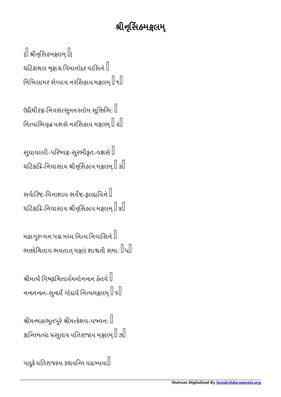## શ્રીનુસિંહમજ્ઞલમ્

 $\left\{\right\}$  શ્રીનૃસિંહમકુલમ્ $\left[\right]$ ઘટિકાચલ શ્રજ્ઞાગ્ર વિમાનોદર વાસિને  $\mathbb I$ નિખિલામર સેવ્યાય નરસિંહાય મક્ષલમ્ $\parallel$  ૧ $\parallel$ 

ઉદીચીરક્ષ-નિવસત્સુમનસ્તોમ સૂત્તિભિ:  $\mathbin\Vert$ નિત્યાભિવૃદ્ધ યશસે નરસિંહાય મક્ષલમ $\mathbin\Vert\mathbin\cdot\mathbin\Vert$ 

સુધાવલ્લી-પરિષ્વક્ષ-સુરભીકૃત-વક્ષસે  $\mathbb I$ ઘટિકાદિ-નિવાસાય શ્રીનૃસિંહાય મક્ષલમ $\mathbin{\mathbb I}$   ${\mathfrak s}{\mathbin{\mathbb I}}$ 

સર્વારિષ્ટ-વિનાશાય સર્વષ્ટ-ફલદાયિને  $\mathbb I$ ઘટિકાકિ-નિવાસાય શ્રીનૃસિંહાય મક્ષલમ્ $\mathbb I$  ૪ $\mathbb I$ 

મહાગુરુ મન:પદ્મ મધ્ય નિત્ય નિવાસિને  $\mathbb I$ ભત્તોચિતાય ભવતાત્ મક્ષલં શાશ્વતી સમા:  $\|$ પ $\|$ 

શ્રીમત્યે વિષ્ણુચિત્તાર્યમનોનન્દન હેતવે $\mathord{\mathbb I}$ નન્દનન્દન-સુન્દર્યે ગોદાયૈ નિત્યમક્ષલમ્ $\mathbb I$  ક $\mathbb I$ 

શ્રીમન્મહાભૂતપુરે શ્રીમત્કેશવ-યજ્વન:  $\mathbb I$ કાન્તિમત્યાં પ્રસૂતાય યતિરાજાય મજ્ઞલમ્ $\mathbb I$  ૭ $\mathbb I$ 

પાદુકે યિતરાજય કથયિત યદાયયા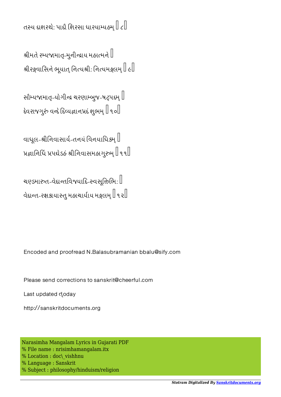તસ્ય દાશરથે: પાદૌ શિરસા ધારયામ્યહ્મ $\mathbb I$   $\epsilon \mathbb I$ 

શ્રીમતે રમ્યજામાતૃ-મુનીન્દ્રાય મહાત્મને  $\mathord{\mathbb I}$ શ્રીરક્ષવાસિને ભૂયાત્ નિત્યશ્રી: નિત્યમક્ષલમ્ $\mathbb I$  હ $\mathbb I$ 

સૌમ્યજામાતૃ-યોગીજ ચરણામ્બુજ-ષટ્પદમ્ $\mathbin\Vert$ દેવરાજગુરું વન્દે દિવ્યજ્ઞાનપ્રદં શુભમ્  $\mathbin{\mathbb{I}}$  ૧૦ $\mathbin{\mathbb{I}}$ 

વાધૂલ-શ્રીનિવાસાર્ય-તનયં વિનયાધિકમ્ $\mathbin\Vert$ પ્રજ્ઞાનિધિં પ્રપદ્યેડહં શ્રીનિવાસમહાગુરુમ્ $\parallel$ ૧૧ $\parallel$ 

ચણ્ડમારુત-વેદાન્તવિજયાદિ-સ્વસૂત્તિભિ:  $\mathbin\Vert$ વેદાન્ત-રક્ષકાયાસ્તુ મહાચાર્યાય મક્ષલમ $\mathbin{\mathbb I}$ ૧૨ $\mathbin{\mathbb I}$ 

Encoded and proofread N.Balasubramanian bbalu@sify.com

Please send corrections to sanskrit@cheerful.com

Last updated doday

http://sanskritdocuments.org

Narasimha Mangalam Lyrics in Gujarati PDF % File name : nrisimhamangalam.itx % Location : doc\ vishhnu % Language : Sanskrit % Subject : philosophy/hinduism/religion